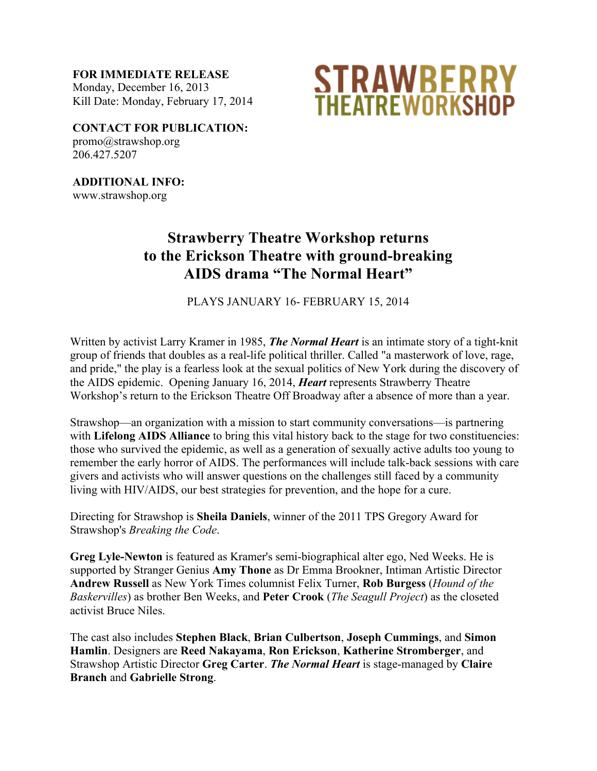**FOR IMMEDIATE RELEASE** Monday, December 16, 2013 Kill Date: Monday, February 17, 2014



**CONTACT FOR PUBLICATION:** promo@strawshop.org 206.427.5207

**ADDITIONAL INFO:** www.strawshop.org

## **Strawberry Theatre Workshop returns to the Erickson Theatre with ground-breaking AIDS drama "The Normal Heart"**

PLAYS JANUARY 16- FEBRUARY 15, 2014

Written by activist Larry Kramer in 1985, *The Normal Heart* is an intimate story of a tight-knit group of friends that doubles as a real-life political thriller. Called "a masterwork of love, rage, and pride," the play is a fearless look at the sexual politics of New York during the discovery of the AIDS epidemic. Opening January 16, 2014, *Heart* represents Strawberry Theatre Workshop's return to the Erickson Theatre Off Broadway after a absence of more than a year.

Strawshop—an organization with a mission to start community conversations—is partnering with **Lifelong AIDS Alliance** to bring this vital history back to the stage for two constituencies: those who survived the epidemic, as well as a generation of sexually active adults too young to remember the early horror of AIDS. The performances will include talk-back sessions with care givers and activists who will answer questions on the challenges still faced by a community living with HIV/AIDS, our best strategies for prevention, and the hope for a cure.

Directing for Strawshop is **Sheila Daniels**, winner of the 2011 TPS Gregory Award for Strawshop's *Breaking the Code*.

**Greg Lyle-Newton** is featured as Kramer's semi-biographical alter ego, Ned Weeks. He is supported by Stranger Genius **Amy Thone** as Dr Emma Brookner, Intiman Artistic Director **Andrew Russell** as New York Times columnist Felix Turner, **Rob Burgess** (*Hound of the Baskervilles*) as brother Ben Weeks, and **Peter Crook** (*The Seagull Project*) as the closeted activist Bruce Niles.

The cast also includes **Stephen Black**, **Brian Culbertson**, **Joseph Cummings**, and **Simon Hamlin**. Designers are **Reed Nakayama**, **Ron Erickson**, **Katherine Stromberger**, and Strawshop Artistic Director **Greg Carter**. *The Normal Heart* is stage-managed by **Claire Branch** and **Gabrielle Strong**.